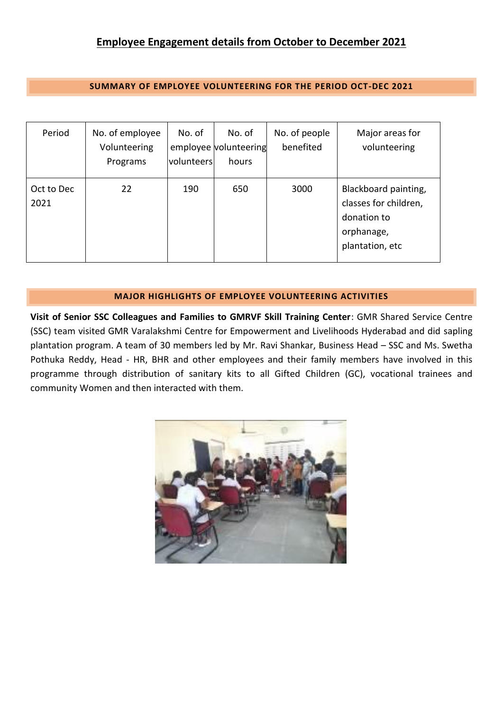**SUMMARY OF EMPLOYEE VOLUNTEERING FOR THE PERIOD OCT-DEC 2021**

| Period             | No. of employee<br>Volunteering<br>Programs | No. of<br>volunteers | No. of<br>employee volunteering<br>hours | No. of people<br>benefited | Major areas for<br>volunteering                                                               |
|--------------------|---------------------------------------------|----------------------|------------------------------------------|----------------------------|-----------------------------------------------------------------------------------------------|
| Oct to Dec<br>2021 | 22                                          | 190                  | 650                                      | 3000                       | Blackboard painting,<br>classes for children,<br>donation to<br>orphanage,<br>plantation, etc |

## **MAJOR HIGHLIGHTS OF EMPLOYEE VOLUNTEERING ACTIVITIES**

**Visit of Senior SSC Colleagues and Families to GMRVF Skill Training Center**: GMR Shared Service Centre (SSC) team visited GMR Varalakshmi Centre for Empowerment and Livelihoods Hyderabad and did sapling plantation program. A team of 30 members led by Mr. Ravi Shankar, Business Head – SSC and Ms. Swetha Pothuka Reddy, Head - HR, BHR and other employees and their family members have involved in this programme through distribution of sanitary kits to all Gifted Children (GC), vocational trainees and community Women and then interacted with them.